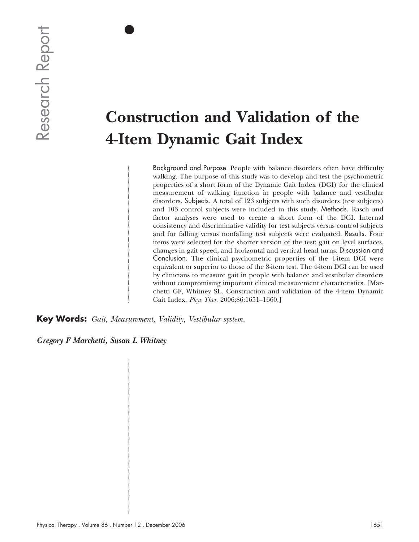# **Construction and Validation of the 4-Item Dynamic Gait Index**

Background and Purpose. People with balance disorders often have difficulty walking. The purpose of this study was to develop and test the psychometric properties of a short form of the Dynamic Gait Index (DGI) for the clinical measurement of walking function in people with balance and vestibular disorders. Subjects. A total of 123 subjects with such disorders (test subjects) and 103 control subjects were included in this study. Methods. Rasch and factor analyses were used to create a short form of the DGI. Internal consistency and discriminative validity for test subjects versus control subjects and for falling versus nonfalling test subjects were evaluated. Results. Four items were selected for the shorter version of the test: gait on level surfaces, changes in gait speed, and horizontal and vertical head turns. Discussion and Conclusion. The clinical psychometric properties of the 4-item DGI were equivalent or superior to those of the 8-item test. The 4-item DGI can be used by clinicians to measure gait in people with balance and vestibular disorders without compromising important clinical measurement characteristics. [Marchetti GF, Whitney SL. Construction and validation of the 4-item Dynamic Gait Index. *Phys Ther*. 2006;86:1651–1660.] **Physical Therapy and National Therapy . Number 12** . Also proposed the set of the set of the set of the set of the set of the set of the set of the set of the set of the set of the set of the set of the set of the set of

**Key Words:** *Gait, Measurement, Validity, Vestibular system.*

 $\bullet$ 

*Gregory F Marchetti, Susan L Whitney*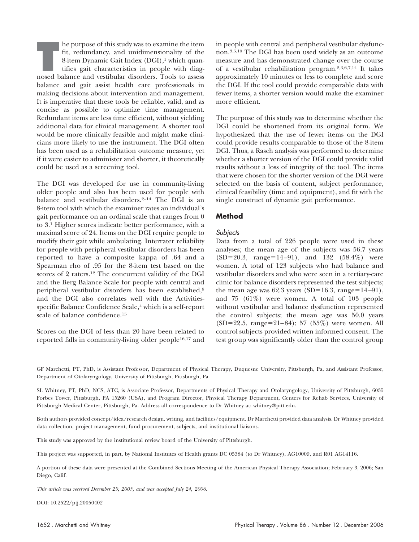**THE FIGURE 15 he purpose of this study was to examine the item<br>fit, redundancy, and unidimensionality of the<br>8-item Dynamic Gait Index (DGI),<sup>1</sup> which quan-<br>tifies gait characteristics in people with diag-<br>nosed balance a** fit, redundancy, and unidimensionality of the 8-item Dynamic Gait Index (DGI),<sup>1</sup> which quantifies gait characteristics in people with diagnosed balance and vestibular disorders. Tools to assess balance and gait assist health care professionals in making decisions about intervention and management. It is imperative that these tools be reliable, valid, and as concise as possible to optimize time management. Redundant items are less time efficient, without yielding additional data for clinical management. A shorter tool would be more clinically feasible and might make clinicians more likely to use the instrument. The DGI often has been used as a rehabilitation outcome measure, yet if it were easier to administer and shorter, it theoretically could be used as a screening tool.

The DGI was developed for use in community-living older people and also has been used for people with balance and vestibular disorders.<sup>2-14</sup> The DGI is an 8-item tool with which the examiner rates an individual's gait performance on an ordinal scale that ranges from 0 to 3.1 Higher scores indicate better performance, with a maximal score of 24. Items on the DGI require people to modify their gait while ambulating. Interrater reliability for people with peripheral vestibular disorders has been reported to have a composite kappa of .64 and a Spearman rho of .95 for the 8-item test based on the scores of 2 raters.12 The concurrent validity of the DGI and the Berg Balance Scale for people with central and peripheral vestibular disorders has been established,8 and the DGI also correlates well with the Activitiesspecific Balance Confidence Scale,<sup>4</sup> which is a self-report scale of balance confidence.15

Scores on the DGI of less than 20 have been related to reported falls in community-living older people16,17 and in people with central and peripheral vestibular dysfunction.3,5,10 The DGI has been used widely as an outcome measure and has demonstrated change over the course of a vestibular rehabilitation program.2,3,6,7,14 It takes approximately 10 minutes or less to complete and score the DGI. If the tool could provide comparable data with fewer items, a shorter version would make the examiner more efficient.

The purpose of this study was to determine whether the DGI could be shortened from its original form. We hypothesized that the use of fewer items on the DGI could provide results comparable to those of the 8-item DGI. Thus, a Rasch analysis was performed to determine whether a shorter version of the DGI could provide valid results without a loss of integrity of the tool. The items that were chosen for the shorter version of the DGI were selected on the basis of content, subject performance, clinical feasibility (time and equipment), and fit with the single construct of dynamic gait performance.

# **Method**

# Subjects

Data from a total of 226 people were used in these analyses; the mean age of the subjects was 56.7 years  $(SD=20.3, \text{ range}=14-91)$ , and 132 (58.4%) were women. A total of 123 subjects who had balance and vestibular disorders and who were seen in a tertiary-care clinic for balance disorders represented the test subjects; the mean age was 62.3 years (SD=16.3, range=14-91), and 75 (61%) were women. A total of 103 people without vestibular and balance dysfunction represented the control subjects; the mean age was 50.0 years  $(SD=22.5, range=21-84); 57 (55%) were women. All$ control subjects provided written informed consent. The test group was significantly older than the control group

GF Marchetti, PT, PhD, is Assistant Professor, Department of Physical Therapy, Duquesne University, Pittsburgh, Pa, and Assistant Professor, Department of Otolaryngology, University of Pittsburgh, Pittsburgh, Pa.

SL Whitney, PT, PhD, NCS, ATC, is Associate Professor, Departments of Physical Therapy and Otolaryngology, University of Pittsburgh, 6035 Forbes Tower, Pittsburgh, PA 15260 (USA), and Program Director, Physical Therapy Department, Centers for Rehab Services, University of Pittsburgh Medical Center, Pittsburgh, Pa. Address all correspondence to Dr Whitney at: whitney@pitt.edu.

Both authors provided concept/idea/research design, writing, and facilities/equipment. Dr Marchetti provided data analysis. Dr Whitney provided data collection, project management, fund procurement, subjects, and institutional liaisons.

This study was approved by the institutional review board of the University of Pittsburgh.

This project was supported, in part, by National Institutes of Health grants DC 05384 (to Dr Whitney), AG10009, and R01 AG14116.

A portion of these data were presented at the Combined Sections Meeting of the American Physical Therapy Association; February 3, 2006; San Diego, Calif.

*This article was received December 29, 2005, and was accepted July 24, 2006*.

DOI: 10.2522/ptj.20050402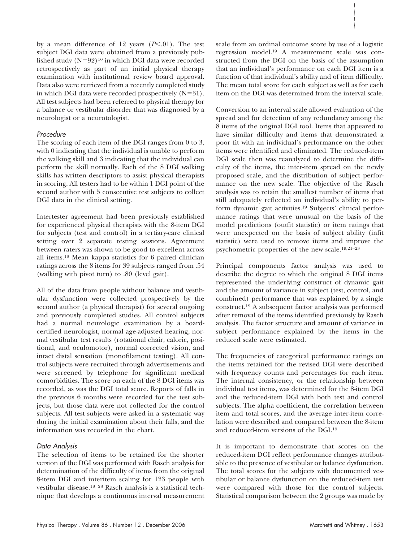by a mean difference of 12 years (P<.01). The test subject DGI data were obtained from a previously published study  $(N=92)^{10}$  in which DGI data were recorded retrospectively as part of an initial physical therapy examination with institutional review board approval. Data also were retrieved from a recently completed study in which DGI data were recorded prospectively  $(N=31)$ . All test subjects had been referred to physical therapy for a balance or vestibular disorder that was diagnosed by a neurologist or a neurotologist.

# Procedure

The scoring of each item of the DGI ranges from 0 to 3, with 0 indicating that the individual is unable to perform the walking skill and 3 indicating that the individual can perform the skill normally. Each of the 8 DGI walking skills has written descriptors to assist physical therapists in scoring. All testers had to be within 1 DGI point of the second author with 5 consecutive test subjects to collect DGI data in the clinical setting.

Intertester agreement had been previously established for experienced physical therapists with the 8-item DGI for subjects (test and control) in a tertiary-care clinical setting over 2 separate testing sessions. Agreement between raters was shown to be good to excellent across all items.18 Mean kappa statistics for 6 paired clinician ratings across the 8 items for 39 subjects ranged from .54 (walking with pivot turn) to .80 (level gait).

All of the data from people without balance and vestibular dysfunction were collected prospectively by the second author (a physical therapist) for several ongoing and previously completed studies. All control subjects had a normal neurologic examination by a boardcertified neurologist, normal age-adjusted hearing, normal vestibular test results (rotational chair, caloric, positional, and oculomotor), normal corrected vision, and intact distal sensation (monofilament testing). All control subjects were recruited through advertisements and were screened by telephone for significant medical comorbidities. The score on each of the 8 DGI items was recorded, as was the DGI total score. Reports of falls in the previous 6 months were recorded for the test subjects, but those data were not collected for the control subjects. All test subjects were asked in a systematic way during the initial examination about their falls, and the information was recorded in the chart. by a usera difference of 12 years (*Pe-20*)). Its test seed boss as orbital otooms exert by as of a highlight difference of the physical Therapy in a minimister of the constrained the constrained the effect of the effect

## Data Analysis

The selection of items to be retained for the shorter version of the DGI was performed with Rasch analysis for determination of the difficulty of items from the original 8-item DGI and interitem scaling for 123 people with vestibular disease.<sup>19-23</sup> Rasch analysis is a statistical technique that develops a continuous interval measurement scale from an ordinal outcome score by use of a logistic regression model.19 A measurement scale was constructed from the DGI on the basis of the assumption that an individual's performance on each DGI item is a function of that individual's ability and of item difficulty. The mean total score for each subject as well as for each item on the DGI was determined from the interval scale.

Conversion to an interval scale allowed evaluation of the spread and for detection of any redundancy among the 8 items of the original DGI tool. Items that appeared to have similar difficulty and items that demonstrated a poor fit with an individual's performance on the other items were identified and eliminated. The reduced-item DGI scale then was reanalyzed to determine the difficulty of the items, the inter-item spread on the newly proposed scale, and the distribution of subject performance on the new scale. The objective of the Rasch analysis was to retain the smallest number of items that still adequately reflected an individual's ability to perform dynamic gait activities.19 Subjects' clinical performance ratings that were unusual on the basis of the model predictions (outfit statistic) or item ratings that were unexpected on the basis of subject ability (infit statistic) were used to remove items and improve the psychometric properties of the new scale.19,21–23

Principal components factor analysis was used to describe the degree to which the original 8 DGI items represented the underlying construct of dynamic gait and the amount of variance in subject (test, control, and combined) performance that was explained by a single construct.19 A subsequent factor analysis was performed after removal of the items identified previously by Rasch analysis. The factor structure and amount of variance in subject performance explained by the items in the reduced scale were estimated.

The frequencies of categorical performance ratings on the items retained for the revised DGI were described with frequency counts and percentages for each item. The internal consistency, or the relationship between individual test items, was determined for the 8-item DGI and the reduced-item DGI with both test and control subjects. The alpha coefficient, the correlation between item and total scores, and the average inter-item correlation were described and compared between the 8-item and reduced-item versions of the DGI.19

It is important to demonstrate that scores on the reduced-item DGI reflect performance changes attributable to the presence of vestibular or balance dysfunction. The total scores for the subjects with documented vestibular or balance dysfunction on the reduced-item test were compared with those for the control subjects. Statistical comparison between the 2 groups was made by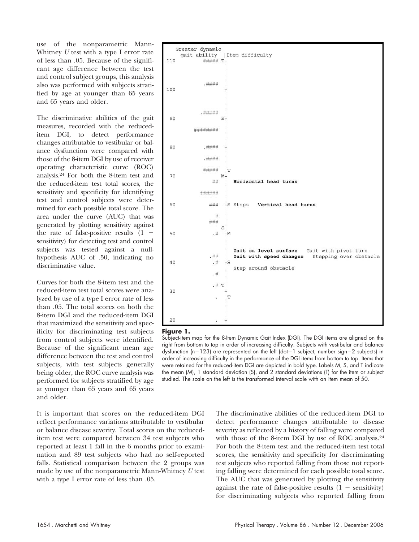use of the nonparametric Mann-Whitney *U* test with a type I error rate of less than .05. Because of the significant age difference between the test and control subject groups, this analysis also was performed with subjects stratified by age at younger than 65 years and 65 years and older.

The discriminative abilities of the gait measures, recorded with the reduceditem DGI, to detect performance changes attributable to vestibular or balance dysfunction were compared with those of the 8-item DGI by use of receiver operating characteristic curve (ROC) analysis.24 For both the 8-item test and the reduced-item test total scores, the sensitivity and specificity for identifying test and control subjects were determined for each possible total score. The area under the curve (AUC) that was generated by plotting sensitivity against the rate of false-positive results  $(1$ sensitivity) for detecting test and control subjects was tested against a nullhypothesis AUC of .50, indicating no discriminative value.

Curves for both the 8-item test and the reduced-item test total scores were analyzed by use of a type I error rate of less than .05. The total scores on both the 8-item DGI and the reduced-item DGI that maximized the sensitivity and specificity for discriminating test subjects from control subjects were identified. Because of the significant mean age difference between the test and control subjects, with test subjects generally being older, the ROC curve analysis was performed for subjects stratified by age at younger than 65 years and 65 years and older.

It is important that scores on the reduced-item DGI reflect performance variations attributable to vestibular or balance disease severity. Total scores on the reduceditem test were compared between 34 test subjects who reported at least 1 fall in the 6 months prior to examination and 89 test subjects who had no self-reported falls. Statistical comparison between the 2 groups was made by use of the nonparametric Mann-Whitney *U* test with a type I error rate of less than .05.



## **Figure 1.**

Subject-item map for the 8-Item Dynamic Gait Index (DGI). The DGI items are aligned on the right from bottom to top in order of increasing difficulty. Subjects with vestibular and balance dysfunction (n=123) are represented on the left (dot=1 subject, number sign=2 subjects) in order of increasing difficulty in the performance of the DGI items from bottom to top. Items that were retained for the reduced-item DGI are depicted in bold type. Labels M, S, and T indicate the mean (M), 1 standard deviation (S), and 2 standard deviations (T) for the item or subject studied. The scale on the left is the transformed interval scale with an item mean of 50.

The discriminative abilities of the reduced-item DGI to detect performance changes attributable to disease severity as reflected by a history of falling were compared with those of the 8-item DGI by use of ROC analysis.24 For both the 8-item test and the reduced-item test total scores, the sensitivity and specificity for discriminating test subjects who reported falling from those not reporting falling were determined for each possible total score. The AUC that was generated by plotting the sensitivity against the rate of false-positive results  $(1 -$  sensitivity) for discriminating subjects who reported falling from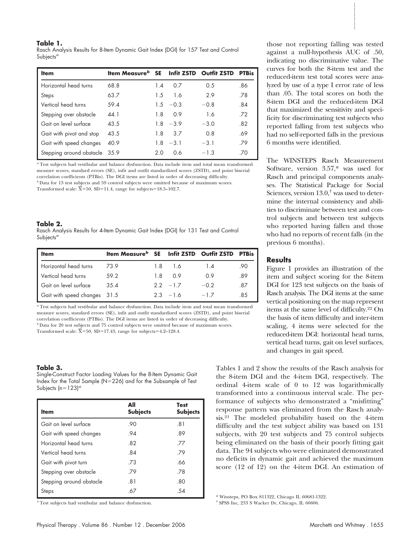## **Table 1.**

| Item                                                                                                                                                                                                                                                                                                                                                                                                                                                                                                                                                                                                                                                                                                                        | <b>Item Measure</b> <sup>b</sup> SE |     |                                | Infit ZSTD Outfit ZSTD PTBis |     | curves for both the 8-item test and the<br>reduced-item test total scores were ana-                                                                                                                                                                                                                                                                 |  |
|-----------------------------------------------------------------------------------------------------------------------------------------------------------------------------------------------------------------------------------------------------------------------------------------------------------------------------------------------------------------------------------------------------------------------------------------------------------------------------------------------------------------------------------------------------------------------------------------------------------------------------------------------------------------------------------------------------------------------------|-------------------------------------|-----|--------------------------------|------------------------------|-----|-----------------------------------------------------------------------------------------------------------------------------------------------------------------------------------------------------------------------------------------------------------------------------------------------------------------------------------------------------|--|
| Horizontal head turns                                                                                                                                                                                                                                                                                                                                                                                                                                                                                                                                                                                                                                                                                                       | 68.8                                | 1.4 | 0.7                            | 0.5                          | .86 | lyzed by use of a type I error rate of less                                                                                                                                                                                                                                                                                                         |  |
| <b>Steps</b>                                                                                                                                                                                                                                                                                                                                                                                                                                                                                                                                                                                                                                                                                                                | 63.7                                | 1.5 | 1.6                            | 2.9                          | .78 | than .05. The total scores on both the                                                                                                                                                                                                                                                                                                              |  |
| Vertical head turns                                                                                                                                                                                                                                                                                                                                                                                                                                                                                                                                                                                                                                                                                                         | 59.4                                | 1.5 | $-0.3$                         | $-0.8$                       | .84 | 8-item DGI and the reduced-item DGI                                                                                                                                                                                                                                                                                                                 |  |
| Stepping over obstacle                                                                                                                                                                                                                                                                                                                                                                                                                                                                                                                                                                                                                                                                                                      | 44.1                                | 1.8 | 0.9                            | 1.6                          | .72 | that maximized the sensitivity and speci-<br>ficity for discriminating test subjects who                                                                                                                                                                                                                                                            |  |
| Gait on level surface                                                                                                                                                                                                                                                                                                                                                                                                                                                                                                                                                                                                                                                                                                       | 43.5                                | 1.8 | $-3.9$                         | $-3.0$                       | .82 | reported falling from test subjects who<br>had no self-reported falls in the previous                                                                                                                                                                                                                                                               |  |
| Gait with pivot and stop                                                                                                                                                                                                                                                                                                                                                                                                                                                                                                                                                                                                                                                                                                    | 43.5                                | 1.8 | 3.7                            | 0.8                          | .69 |                                                                                                                                                                                                                                                                                                                                                     |  |
| Gait with speed changes                                                                                                                                                                                                                                                                                                                                                                                                                                                                                                                                                                                                                                                                                                     | 40.9                                |     | $1.8 - 3.1$                    | $-3.1$                       | .79 | 6 months were identified.                                                                                                                                                                                                                                                                                                                           |  |
| Stepping around obstacle 35.9                                                                                                                                                                                                                                                                                                                                                                                                                                                                                                                                                                                                                                                                                               |                                     | 2.0 | 0.6                            | $-1.3$                       | .70 |                                                                                                                                                                                                                                                                                                                                                     |  |
| Table 2.<br>Rasch Analysis Results for 4-Item Dynamic Gait Index (DGI) for 131 Test and Control<br>Subjects <sup>a</sup>                                                                                                                                                                                                                                                                                                                                                                                                                                                                                                                                                                                                    |                                     |     |                                |                              |     | mine the internal consistency and abili-<br>ties to discriminate between test and con-<br>trol subjects and between test subjects<br>who reported having fallen and those<br>who had no reports of recent falls (in the<br>previous 6 months).                                                                                                      |  |
|                                                                                                                                                                                                                                                                                                                                                                                                                                                                                                                                                                                                                                                                                                                             |                                     |     |                                |                              |     |                                                                                                                                                                                                                                                                                                                                                     |  |
| <b>Item</b>                                                                                                                                                                                                                                                                                                                                                                                                                                                                                                                                                                                                                                                                                                                 | <b>Item Measure</b> <sup>b</sup> SE |     | Infit ZSTD Outfit ZSTD PTBis   |                              |     |                                                                                                                                                                                                                                                                                                                                                     |  |
| Horizontal head turns                                                                                                                                                                                                                                                                                                                                                                                                                                                                                                                                                                                                                                                                                                       | 73.9                                | 1.8 | 1.6                            | 1.4                          | .90 | <b>Results</b>                                                                                                                                                                                                                                                                                                                                      |  |
|                                                                                                                                                                                                                                                                                                                                                                                                                                                                                                                                                                                                                                                                                                                             | 59.2                                | 1.8 | 0.9                            | 0.9                          | .89 | Figure 1 provides an illustration of the<br>item and subject scoring for the 8-item                                                                                                                                                                                                                                                                 |  |
|                                                                                                                                                                                                                                                                                                                                                                                                                                                                                                                                                                                                                                                                                                                             | 35.4                                |     | $2.2 - 1.7$                    | $-0.2$                       | .87 | DGI for 123 test subjects on the basis of                                                                                                                                                                                                                                                                                                           |  |
| Vertical head turns<br>Gait on level surface<br>Gait with speed changes                                                                                                                                                                                                                                                                                                                                                                                                                                                                                                                                                                                                                                                     | 31.5                                |     | $2.3 - 1.6$                    | $-1.7$                       | .85 | Rasch analysis. The DGI items at the same<br>vertical positioning on the map represent                                                                                                                                                                                                                                                              |  |
|                                                                                                                                                                                                                                                                                                                                                                                                                                                                                                                                                                                                                                                                                                                             |                                     |     |                                |                              |     | items at the same level of difficulty. <sup>22</sup> On<br>the basis of item difficulty and inter-item<br>scaling, 4 items were selected for the<br>reduced-item DGI: horizontal head turns,<br>vertical head turns, gait on level surfaces,<br>and changes in gait speed.                                                                          |  |
| <b>Item</b>                                                                                                                                                                                                                                                                                                                                                                                                                                                                                                                                                                                                                                                                                                                 | All<br><b>Subjects</b>              |     | <b>Test</b><br><b>Subjects</b> |                              |     | Tables 1 and 2 show the results of the Rasch analysis for<br>the 8-item DGI and the 4-item DGI, respectively. The<br>ordinal 4-item scale of 0 to 12 was logarithmically<br>transformed into a continuous interval scale. The per-<br>formance of subjects who demonstrated a "misfitting"<br>response pattern was eliminated from the Rasch analy- |  |
| Gait on level surface                                                                                                                                                                                                                                                                                                                                                                                                                                                                                                                                                                                                                                                                                                       | .90                                 |     | .81                            |                              |     | sis. <sup>21</sup> The modeled probability based on the 4-item                                                                                                                                                                                                                                                                                      |  |
| Gait with speed changes                                                                                                                                                                                                                                                                                                                                                                                                                                                                                                                                                                                                                                                                                                     | .94                                 |     | .89                            |                              |     | difficulty and the test subject ability was based on 131                                                                                                                                                                                                                                                                                            |  |
| Horizontal head turns                                                                                                                                                                                                                                                                                                                                                                                                                                                                                                                                                                                                                                                                                                       | .82                                 |     | .77                            |                              |     | subjects, with 20 test subjects and 75 control subjects<br>being eliminated on the basis of their poorly fitting gait                                                                                                                                                                                                                               |  |
| Vertical head turns                                                                                                                                                                                                                                                                                                                                                                                                                                                                                                                                                                                                                                                                                                         | .84                                 |     | .79                            |                              |     | data. The 94 subjects who were eliminated demonstrated                                                                                                                                                                                                                                                                                              |  |
| Gait with pivot turn                                                                                                                                                                                                                                                                                                                                                                                                                                                                                                                                                                                                                                                                                                        | .73                                 |     | .66                            |                              |     | no deficits in dynamic gait and achieved the maximum                                                                                                                                                                                                                                                                                                |  |
| Stepping over obstacle                                                                                                                                                                                                                                                                                                                                                                                                                                                                                                                                                                                                                                                                                                      | .79                                 |     | .78                            |                              |     | score (12 of 12) on the 4-item DGI. An estimation of                                                                                                                                                                                                                                                                                                |  |
| Test subjects had vestibular and balance dysfunction. Data include item and total mean transformed<br>measure scores, standard errors (SE), infit and outfit standardized scores (ZSTD), and point biserial<br>correlation coefficients (PTBis). The DGI items are listed in order of decreasing difficulty.<br><sup><i>b</i></sup> Data for 20 test subjects and 75 control subjects were omitted because of maximum scores.<br>Transformed scale: $X=50$ , $SD=17.43$ , range for subjects = 4.2–128.4.<br>Table 3.<br>Single-Construct Factor Loading Values for the 8-Item Dynamic Gait<br>Index for the Total Sample ( $N=226$ ) and for the Subsample of Test<br>Subjects $(n=123)^\circ$<br>Stepping around obstacle | .81                                 |     | .80                            |                              |     |                                                                                                                                                                                                                                                                                                                                                     |  |

#### **Table 2.**

| <b>Item</b>                  | <b>Item Measure</b> SE Infit ZSTD Outfit ZSTD |    |           |        | <b>PTBis</b> |
|------------------------------|-----------------------------------------------|----|-----------|--------|--------------|
| Horizontal head turns        | 73.9                                          | 18 | 1.6       | 14     | .90          |
| Vertical head turns          | 59.2                                          | 18 | - 09      | 0.9    | .89          |
| Gait on level surface        | 35.4                                          |    | $22 - 17$ | $-0.2$ | .87          |
| Gait with speed changes 31.5 |                                               |    | $23 - 16$ | $-17$  | .85          |

#### **Table 3.**

| Item                     | ΔIΙ<br><b>Subjects</b> | <b>Test</b><br><b>Subjects</b> |
|--------------------------|------------------------|--------------------------------|
| Gait on level surface    | .90                    | .81                            |
| Gait with speed changes  | -94                    | .89                            |
| Horizontal head turns    | .82                    | -77                            |
| Vertical head turns      | .84                    | .79                            |
| Gait with pivot turn     | -73                    | .66                            |
| Stepping over obstacle   | .79                    | .78                            |
| Stepping around obstacle | .81                    | .80                            |
| <b>Steps</b>             | .67                    | .54                            |

## **Results**

<sup>†</sup> SPSS Inc, 233 S Wacker Dr, Chicago, IL 60606.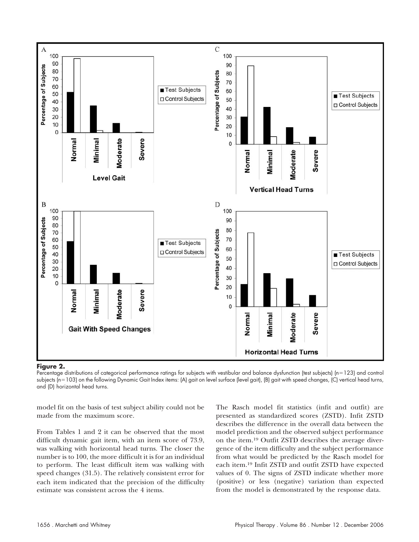

## **Figure 2.**

Percentage distributions of categorical performance ratings for subjects with vestibular and balance dysfunction (test subjects) (n=123) and control subjects (n=103) on the following Dynamic Gait Index items: (A) gait on level surface (level gait), (B) gait with speed changes, (C) vertical head turns, and (D) horizontal head turns.

model fit on the basis of test subject ability could not be made from the maximum score.

From Tables 1 and 2 it can be observed that the most difficult dynamic gait item, with an item score of 73.9, was walking with horizontal head turns. The closer the number is to 100, the more difficult it is for an individual to perform. The least difficult item was walking with speed changes (31.5). The relatively consistent error for each item indicated that the precision of the difficulty estimate was consistent across the 4 items.

The Rasch model fit statistics (infit and outfit) are presented as standardized scores (ZSTD). Infit ZSTD describes the difference in the overall data between the model prediction and the observed subject performance on the item.19 Outfit ZSTD describes the average divergence of the item difficulty and the subject performance from what would be predicted by the Rasch model for each item.19 Infit ZSTD and outfit ZSTD have expected values of 0. The signs of ZSTD indicate whether more (positive) or less (negative) variation than expected from the model is demonstrated by the response data.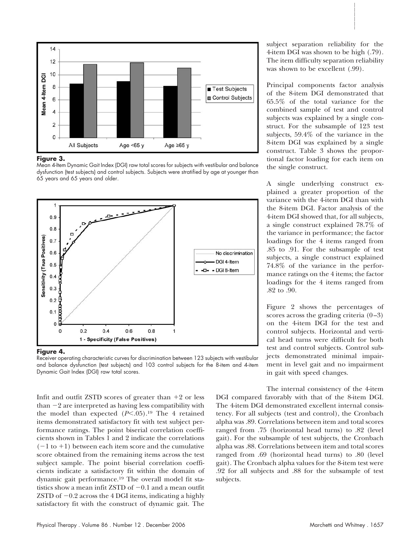

#### **Figure 3.**

Mean 4-Item Dynamic Gait Index (DGI) raw total scores for subjects with vestibular and balance dysfunction (test subjects) and control subjects. Subjects were stratified by age at younger than 65 years and 65 years and older.



#### **Figure 4.**

Receiver operating characteristic curves for discrimination between 123 subjects with vestibular and balance dysfunction (test subjects) and 103 control subjects for the 8-item and 4-item Dynamic Gait Index (DGI) raw total scores.

Infit and outfit ZSTD scores of greater than  $+2$  or less than  $-2$  are interpreted as having less compatibility with the model than expected  $(P<.05).^{19}$  The 4 retained items demonstrated satisfactory fit with test subject performance ratings. The point biserial correlation coefficients shown in Tables 1 and 2 indicate the correlations  $(-1$  to  $+1)$  between each item score and the cumulative score obtained from the remaining items across the test subject sample. The point biserial correlation coefficients indicate a satisfactory fit within the domain of dynamic gait performance.19 The overall model fit statistics show a mean infit ZSTD of  $-0.1$  and a mean outfit ZSTD of  $-0.2$  across the 4 DGI items, indicating a highly satisfactory fit with the construct of dynamic gait. The

subject separation reliability for the 4-item DGI was shown to be high (.79). The item difficulty separation reliability was shown to be excellent (.99).

Principal components factor analysis of the 8-item DGI demonstrated that 65.5% of the total variance for the combined sample of test and control subjects was explained by a single construct. For the subsample of 123 test subjects, 59.4% of the variance in the 8-item DGI was explained by a single construct. Table 3 shows the proportional factor loading for each item on the single construct.

A single underlying construct explained a greater proportion of the variance with the 4-item DGI than with the 8-item DGI. Factor analysis of the 4-item DGI showed that, for all subjects, a single construct explained 78.7% of the variance in performance; the factor loadings for the 4 items ranged from .85 to .91. For the subsample of test subjects, a single construct explained 74.8% of the variance in the performance ratings on the 4 items; the factor loadings for the 4 items ranged from .82 to .90.

Figure 2 shows the percentages of scores across the grading criteria  $(0-3)$ on the 4-item DGI for the test and control subjects. Horizontal and vertical head turns were difficult for both test and control subjects. Control subjects demonstrated minimal impairment in level gait and no impairment in gait with speed changes.

The internal consistency of the 4-item DGI compared favorably with that of the 8-item DGI. The 4-item DGI demonstrated excellent internal consistency. For all subjects (test and control), the Cronbach alpha was .89. Correlations between item and total scores ranged from .75 (horizontal head turns) to .82 (level gait). For the subsample of test subjects, the Cronbach alpha was .88. Correlations between item and total scores ranged from .69 (horizontal head turns) to .80 (level gait). The Cronbach alpha values for the 8-item test were .92 for all subjects and .88 for the subsample of test subjects.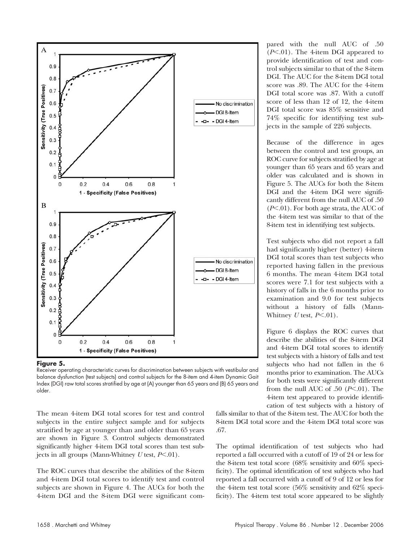



Receiver operating characteristic curves for discrimination between subjects with vestibular and balance dysfunction (test subjects) and control subjects for the 8-item and 4-item Dynamic Gait Index (DGI) raw total scores stratified by age at (A) younger than 65 years and (B) 65 years and older.

The mean 4-item DGI total scores for test and control subjects in the entire subject sample and for subjects stratified by age at younger than and older than 65 years are shown in Figure 3. Control subjects demonstrated significantly higher 4-item DGI total scores than test subjects in all groups (Mann-Whitney *U* test, *P*-.01).

The ROC curves that describe the abilities of the 8-item and 4-item DGI total scores to identify test and control subjects are shown in Figure 4. The AUCs for both the 4-item DGI and the 8-item DGI were significant com-

pared with the null AUC of .50  $(P<.01)$ . The 4-item DGI appeared to provide identification of test and control subjects similar to that of the 8-item DGI. The AUC for the 8-item DGI total score was .89. The AUC for the 4-item DGI total score was .87. With a cutoff score of less than 12 of 12, the 4-item DGI total score was 85% sensitive and 74% specific for identifying test subjects in the sample of 226 subjects.

Because of the difference in ages between the control and test groups, an ROC curve for subjects stratified by age at younger than 65 years and 65 years and older was calculated and is shown in Figure 5. The AUCs for both the 8-item DGI and the 4-item DGI were significantly different from the null AUC of .50 (P<.01). For both age strata, the AUC of the 4-item test was similar to that of the 8-item test in identifying test subjects.

Test subjects who did not report a fall had significantly higher (better) 4-item DGI total scores than test subjects who reported having fallen in the previous 6 months. The mean 4-item DGI total scores were 7.1 for test subjects with a history of falls in the 6 months prior to examination and 9.0 for test subjects without a history of falls (Mann-Whitney  $U$  test,  $P \leq .01$ ).

Figure 6 displays the ROC curves that describe the abilities of the 8-item DGI and 4-item DGI total scores to identify test subjects with a history of falls and test subjects who had not fallen in the 6 months prior to examination. The AUCs for both tests were significantly different from the null AUC of .50 (*P*<.01). The 4-item test appeared to provide identification of test subjects with a history of

falls similar to that of the 8-item test. The AUC for both the 8-item DGI total score and the 4-item DGI total score was .67.

The optimal identification of test subjects who had reported a fall occurred with a cutoff of 19 of 24 or less for the 8-item test total score (68% sensitivity and 60% specificity). The optimal identification of test subjects who had reported a fall occurred with a cutoff of 9 of 12 or less for the 4-item test total score (56% sensitivity and 62% specificity). The 4-item test total score appeared to be slightly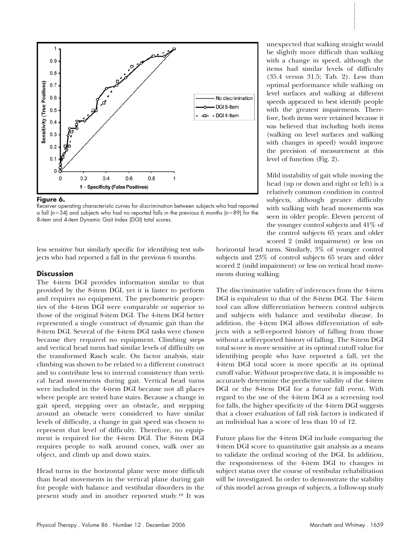

**Figure 6.**

Receiver operating characteristic curves for discrimination between subjects who had reported a fall (n=34) and subjects who had no reported falls in the previous 6 months (n=89) for the 8-item and 4-item Dynamic Gait Index (DGI) total scores.

less sensitive but similarly specific for identifying test subjects who had reported a fall in the previous 6 months.

# **Discussion**

The 4-item DGI provides information similar to that provided by the 8-item DGI, yet it is faster to perform and requires no equipment. The psychometric properties of the 4-item DGI were comparable or superior to those of the original 8-item DGI. The 4-item DGI better represented a single construct of dynamic gait than the 8-item DGI. Several of the 4-item DGI tasks were chosen because they required no equipment. Climbing steps and vertical head turns had similar levels of difficulty on the transformed Rasch scale. On factor analysis, stair climbing was shown to be related to a different construct and to contribute less to internal consistency than vertical head movements during gait. Vertical head turns were included in the 4-item DGI because not all places where people are tested have stairs. Because a change in gait speed, stepping over an obstacle, and stepping around an obstacle were considered to have similar levels of difficulty, a change in gait speed was chosen to represent that level of difficulty. Therefore, no equipment is required for the 4-item DGI. The 8-item DGI requires people to walk around cones, walk over an object, and climb up and down stairs.

Head turns in the horizontal plane were more difficult than head movements in the vertical plane during gait for people with balance and vestibular disorders in the present study and in another reported study.10 It was

unexpected that walking straight would be slightly more difficult than walking with a change in speed, although the items had similar levels of difficulty (35.4 versus 31.5; Tab. 2). Less than optimal performance while walking on level surfaces and walking at different speeds appeared to best identify people with the greatest impairments. Therefore, both items were retained because it was believed that including both items (walking on level surfaces and walking with changes in speed) would improve the precision of measurement at this level of function (Fig. 2).

Mild instability of gait while moving the head (up or down and right or left) is a relatively common condition in control subjects, although greater difficulty with walking with head movements was seen in older people. Eleven percent of the younger control subjects and 41% of the control subjects 65 years and older scored 2 (mild impairment) or less on

horizontal head turns. Similarly, 3% of younger control subjects and 23% of control subjects 65 years and older scored 2 (mild impairment) or less on vertical head movements during walking.

The discriminative validity of inferences from the 4-item DGI is equivalent to that of the 8-item DGI. The 4-item tool can allow differentiation between control subjects and subjects with balance and vestibular disease. In addition, the 4-item DGI allows differentiation of subjects with a self-reported history of falling from those without a self-reported history of falling. The 8-item DGI total score is more sensitive at its optimal cutoff value for identifying people who have reported a fall, yet the 4-item DGI total score is more specific at its optimal cutoff value. Without prospective data, it is impossible to accurately determine the predictive validity of the 4-item DGI or the 8-item DGI for a future fall event. With regard to the use of the 4-item DGI as a screening tool for falls, the higher specificity of the 4-item DGI suggests that a closer evaluation of fall risk factors is indicated if an individual has a score of less than 10 of 12.

Future plans for the 4-item DGI include comparing the 4-item DGI score to quantitative gait analysis as a means to validate the ordinal scoring of the DGI. In addition, the responsiveness of the 4-item DGI to changes in subject status over the course of vestibular rehabilitation will be investigated. In order to demonstrate the stability of this model across groups of subjects, a follow-up study